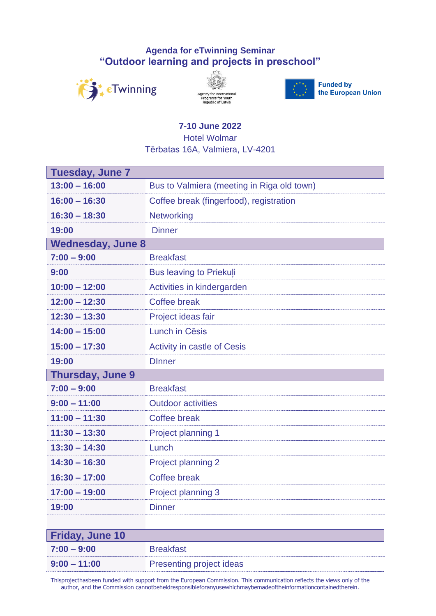## **Agenda for eTwinning Seminar "Outdoor learning and projects in preschool"**



Ē





**Funded by** the European Union

## **7-10 June 2022**

Hotel Wolmar

Tērbatas 16A, Valmiera, LV-4201

| <b>Tuesday, June 7</b>   |                                            |  |
|--------------------------|--------------------------------------------|--|
| $13:00 - 16:00$          | Bus to Valmiera (meeting in Riga old town) |  |
| $16:00 - 16:30$          | Coffee break (fingerfood), registration    |  |
| $16:30 - 18:30$          | <b>Networking</b>                          |  |
| 19:00                    | <b>Dinner</b>                              |  |
| <b>Wednesday, June 8</b> |                                            |  |
| $7:00 - 9:00$            | <b>Breakfast</b>                           |  |
| 9:00                     | <b>Bus leaving to Priekuli</b>             |  |
| $10:00 - 12:00$          | Activities in kindergarden                 |  |
| $12:00 - 12:30$          | Coffee break                               |  |
| $12:30 - 13:30$          | Project ideas fair                         |  |
| $14:00 - 15:00$          | Lunch in Cēsis                             |  |
| $15:00 - 17:30$          | <b>Activity in castle of Cesis</b>         |  |
| 19:00                    | <b>D</b> Inner                             |  |
| <b>Thursday, June 9</b>  |                                            |  |
| $7:00 - 9:00$            | <b>Breakfast</b>                           |  |
| $9:00 - 11:00$           | <b>Outdoor activities</b>                  |  |
| $11:00 - 11:30$          | <b>Coffee break</b>                        |  |
| $11:30 - 13:30$          | <b>Project planning 1</b>                  |  |
| $13:30 - 14:30$          | Lunch                                      |  |
| $14:30 - 16:30$          | <b>Project planning 2</b>                  |  |
| $16:30 - 17:00$          | <b>Coffee break</b>                        |  |
| $17:00 - 19:00$          | Project planning 3                         |  |
| 19:00                    | <b>Dinner</b>                              |  |
|                          |                                            |  |

| <b>Friday, June 10</b> |                          |
|------------------------|--------------------------|
| $7:00 - 9:00$          | <b>Breakfast</b>         |
| $9:00 - 11:00$         | Presenting project ideas |

Thisprojecthasbeen funded with support from the European Commission. This communication reflects the views only of the author, and the Commission cannotbeheldresponsibleforanyusewhichmaybemadeoftheinformationcontainedtherein.